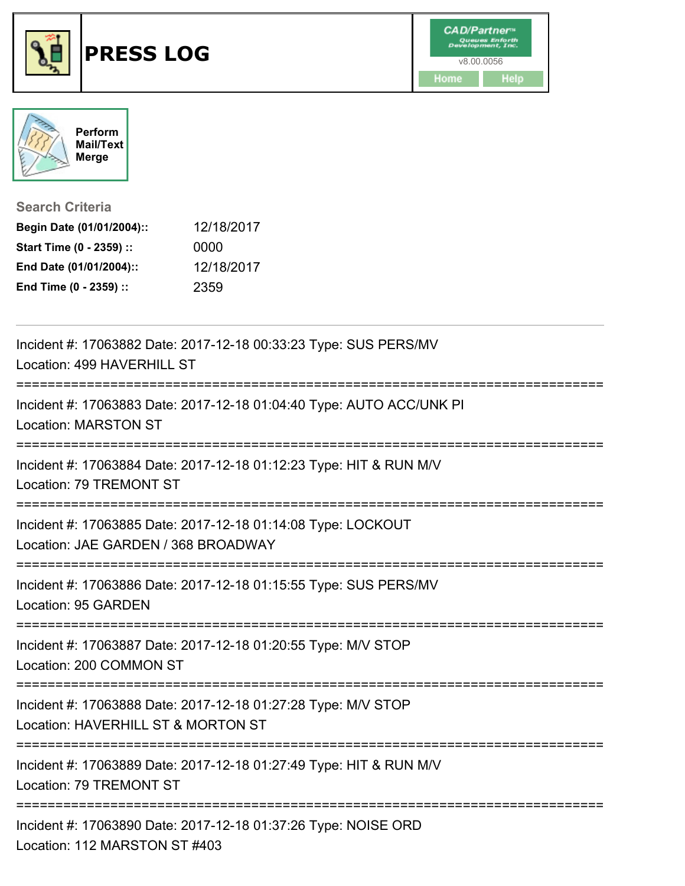



**Search Criteria**

| Begin Date (01/01/2004):: | 12/18/2017 |
|---------------------------|------------|
| Start Time (0 - 2359) ::  | 0000       |
| End Date (01/01/2004)::   | 12/18/2017 |
| End Time (0 - 2359) ::    | 2359       |

| Incident #: 17063882 Date: 2017-12-18 00:33:23 Type: SUS PERS/MV<br>Location: 499 HAVERHILL ST                                     |
|------------------------------------------------------------------------------------------------------------------------------------|
| Incident #: 17063883 Date: 2017-12-18 01:04:40 Type: AUTO ACC/UNK PI<br><b>Location: MARSTON ST</b>                                |
| Incident #: 17063884 Date: 2017-12-18 01:12:23 Type: HIT & RUN M/V<br>Location: 79 TREMONT ST                                      |
| Incident #: 17063885 Date: 2017-12-18 01:14:08 Type: LOCKOUT<br>Location: JAE GARDEN / 368 BROADWAY                                |
| Incident #: 17063886 Date: 2017-12-18 01:15:55 Type: SUS PERS/MV<br>Location: 95 GARDEN<br>---------------------------             |
| Incident #: 17063887 Date: 2017-12-18 01:20:55 Type: M/V STOP<br>Location: 200 COMMON ST                                           |
| Incident #: 17063888 Date: 2017-12-18 01:27:28 Type: M/V STOP<br>Location: HAVERHILL ST & MORTON ST<br>___________________________ |
| Incident #: 17063889 Date: 2017-12-18 01:27:49 Type: HIT & RUN M/V<br>Location: 79 TREMONT ST                                      |
| Incident #: 17063890 Date: 2017-12-18 01:37:26 Type: NOISE ORD<br>Location: 112 MARSTON ST #403                                    |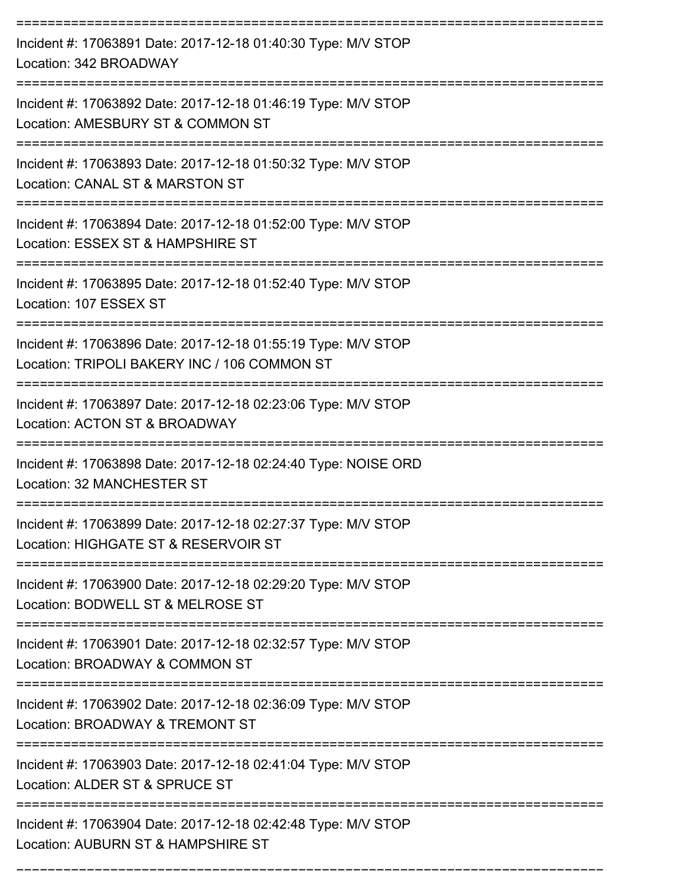| Incident #: 17063891 Date: 2017-12-18 01:40:30 Type: M/V STOP<br>Location: 342 BROADWAY                       |
|---------------------------------------------------------------------------------------------------------------|
| Incident #: 17063892 Date: 2017-12-18 01:46:19 Type: M/V STOP<br>Location: AMESBURY ST & COMMON ST            |
| Incident #: 17063893 Date: 2017-12-18 01:50:32 Type: M/V STOP<br>Location: CANAL ST & MARSTON ST              |
| Incident #: 17063894 Date: 2017-12-18 01:52:00 Type: M/V STOP<br>Location: ESSEX ST & HAMPSHIRE ST            |
| Incident #: 17063895 Date: 2017-12-18 01:52:40 Type: M/V STOP<br>Location: 107 ESSEX ST                       |
| Incident #: 17063896 Date: 2017-12-18 01:55:19 Type: M/V STOP<br>Location: TRIPOLI BAKERY INC / 106 COMMON ST |
| Incident #: 17063897 Date: 2017-12-18 02:23:06 Type: M/V STOP<br>Location: ACTON ST & BROADWAY                |
| Incident #: 17063898 Date: 2017-12-18 02:24:40 Type: NOISE ORD<br>Location: 32 MANCHESTER ST                  |
| Incident #: 17063899 Date: 2017-12-18 02:27:37 Type: M/V STOP<br>Location: HIGHGATE ST & RESERVOIR ST         |
| Incident #: 17063900 Date: 2017-12-18 02:29:20 Type: M/V STOP<br>Location: BODWELL ST & MELROSE ST            |
| Incident #: 17063901 Date: 2017-12-18 02:32:57 Type: M/V STOP<br>Location: BROADWAY & COMMON ST               |
| Incident #: 17063902 Date: 2017-12-18 02:36:09 Type: M/V STOP<br>Location: BROADWAY & TREMONT ST              |
| Incident #: 17063903 Date: 2017-12-18 02:41:04 Type: M/V STOP<br>Location: ALDER ST & SPRUCE ST               |
| Incident #: 17063904 Date: 2017-12-18 02:42:48 Type: M/V STOP<br>Location: AUBURN ST & HAMPSHIRE ST           |

===========================================================================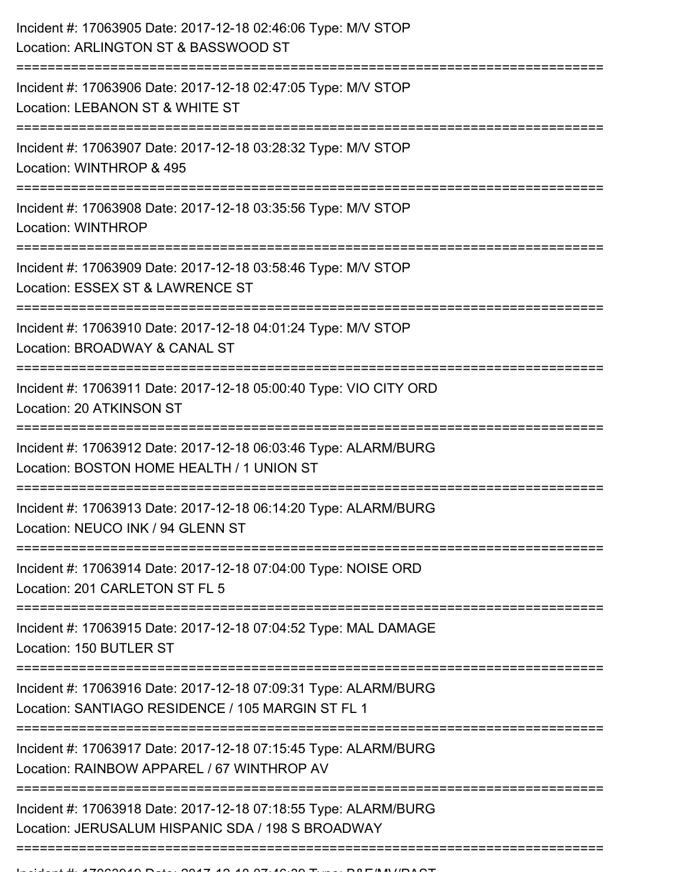| Incident #: 17063905 Date: 2017-12-18 02:46:06 Type: M/V STOP<br>Location: ARLINGTON ST & BASSWOOD ST                |
|----------------------------------------------------------------------------------------------------------------------|
| Incident #: 17063906 Date: 2017-12-18 02:47:05 Type: M/V STOP<br>Location: LEBANON ST & WHITE ST                     |
| Incident #: 17063907 Date: 2017-12-18 03:28:32 Type: M/V STOP<br>Location: WINTHROP & 495                            |
| Incident #: 17063908 Date: 2017-12-18 03:35:56 Type: M/V STOP<br><b>Location: WINTHROP</b>                           |
| Incident #: 17063909 Date: 2017-12-18 03:58:46 Type: M/V STOP<br>Location: ESSEX ST & LAWRENCE ST                    |
| Incident #: 17063910 Date: 2017-12-18 04:01:24 Type: M/V STOP<br>Location: BROADWAY & CANAL ST                       |
| Incident #: 17063911 Date: 2017-12-18 05:00:40 Type: VIO CITY ORD<br>Location: 20 ATKINSON ST                        |
| Incident #: 17063912 Date: 2017-12-18 06:03:46 Type: ALARM/BURG<br>Location: BOSTON HOME HEALTH / 1 UNION ST         |
| Incident #: 17063913 Date: 2017-12-18 06:14:20 Type: ALARM/BURG<br>Location: NEUCO INK / 94 GLENN ST                 |
| Incident #: 17063914 Date: 2017-12-18 07:04:00 Type: NOISE ORD<br>Location: 201 CARLETON ST FL 5                     |
| Incident #: 17063915 Date: 2017-12-18 07:04:52 Type: MAL DAMAGE<br>Location: 150 BUTLER ST                           |
| Incident #: 17063916 Date: 2017-12-18 07:09:31 Type: ALARM/BURG<br>Location: SANTIAGO RESIDENCE / 105 MARGIN ST FL 1 |
| Incident #: 17063917 Date: 2017-12-18 07:15:45 Type: ALARM/BURG<br>Location: RAINBOW APPAREL / 67 WINTHROP AV        |
| Incident #: 17063918 Date: 2017-12-18 07:18:55 Type: ALARM/BURG<br>Location: JERUSALUM HISPANIC SDA / 198 S BROADWAY |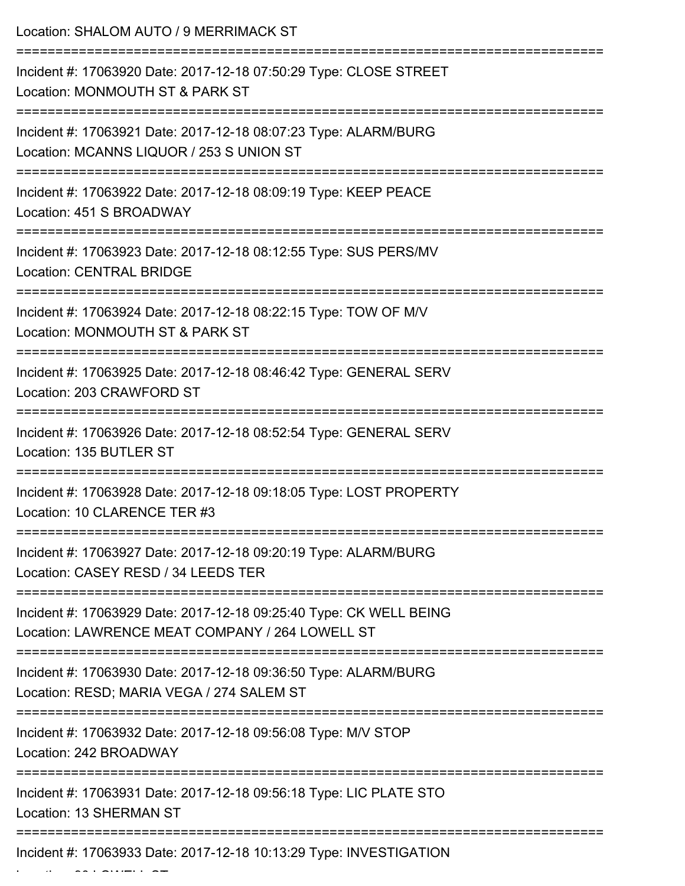| Location: SHALOM AUTO / 9 MERRIMACK ST<br>;=========================                                                   |
|------------------------------------------------------------------------------------------------------------------------|
| Incident #: 17063920 Date: 2017-12-18 07:50:29 Type: CLOSE STREET<br>Location: MONMOUTH ST & PARK ST                   |
| Incident #: 17063921 Date: 2017-12-18 08:07:23 Type: ALARM/BURG<br>Location: MCANNS LIQUOR / 253 S UNION ST            |
| Incident #: 17063922 Date: 2017-12-18 08:09:19 Type: KEEP PEACE<br>Location: 451 S BROADWAY                            |
| Incident #: 17063923 Date: 2017-12-18 08:12:55 Type: SUS PERS/MV<br><b>Location: CENTRAL BRIDGE</b>                    |
| Incident #: 17063924 Date: 2017-12-18 08:22:15 Type: TOW OF M/V<br>Location: MONMOUTH ST & PARK ST                     |
| Incident #: 17063925 Date: 2017-12-18 08:46:42 Type: GENERAL SERV<br>Location: 203 CRAWFORD ST                         |
| Incident #: 17063926 Date: 2017-12-18 08:52:54 Type: GENERAL SERV<br>Location: 135 BUTLER ST                           |
| Incident #: 17063928 Date: 2017-12-18 09:18:05 Type: LOST PROPERTY<br>Location: 10 CLARENCE TER #3                     |
| Incident #: 17063927 Date: 2017-12-18 09:20:19 Type: ALARM/BURG<br>Location: CASEY RESD / 34 LEEDS TER                 |
| Incident #: 17063929 Date: 2017-12-18 09:25:40 Type: CK WELL BEING<br>Location: LAWRENCE MEAT COMPANY / 264 LOWELL ST  |
| Incident #: 17063930 Date: 2017-12-18 09:36:50 Type: ALARM/BURG<br>Location: RESD; MARIA VEGA / 274 SALEM ST           |
| ---------------------------<br>Incident #: 17063932 Date: 2017-12-18 09:56:08 Type: M/V STOP<br>Location: 242 BROADWAY |
| Incident #: 17063931 Date: 2017-12-18 09:56:18 Type: LIC PLATE STO<br><b>Location: 13 SHERMAN ST</b>                   |
| Incident #: 17063933 Date: 2017-12-18 10:13:29 Type: INVESTIGATION                                                     |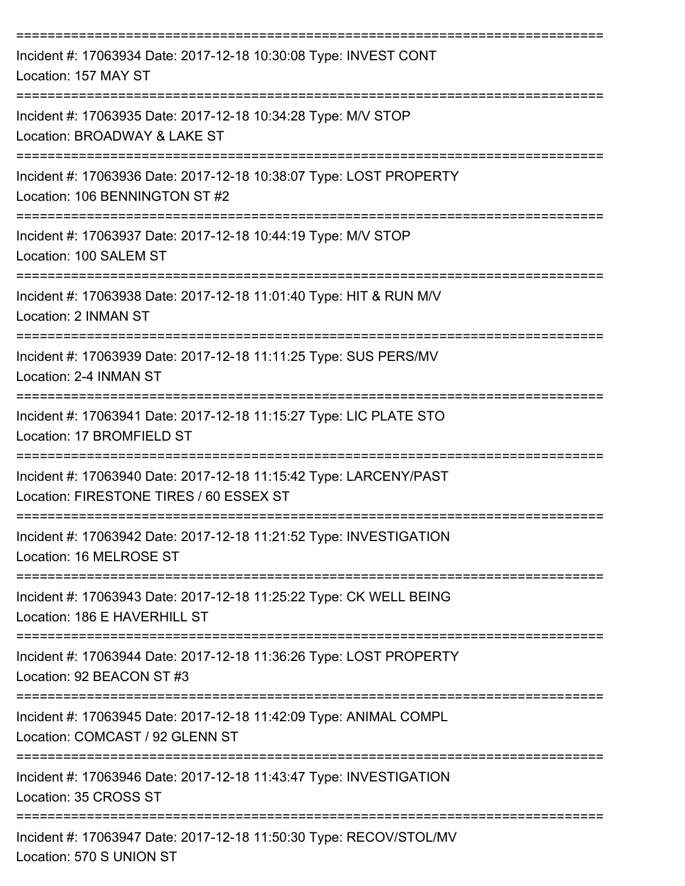| Incident #: 17063934 Date: 2017-12-18 10:30:08 Type: INVEST CONT<br>Location: 157 MAY ST                                           |
|------------------------------------------------------------------------------------------------------------------------------------|
| Incident #: 17063935 Date: 2017-12-18 10:34:28 Type: M/V STOP<br>Location: BROADWAY & LAKE ST                                      |
| Incident #: 17063936 Date: 2017-12-18 10:38:07 Type: LOST PROPERTY<br>Location: 106 BENNINGTON ST #2                               |
| Incident #: 17063937 Date: 2017-12-18 10:44:19 Type: M/V STOP<br>Location: 100 SALEM ST                                            |
| Incident #: 17063938 Date: 2017-12-18 11:01:40 Type: HIT & RUN M/V<br>Location: 2 INMAN ST                                         |
| Incident #: 17063939 Date: 2017-12-18 11:11:25 Type: SUS PERS/MV<br>Location: 2-4 INMAN ST                                         |
| Incident #: 17063941 Date: 2017-12-18 11:15:27 Type: LIC PLATE STO<br>Location: 17 BROMFIELD ST                                    |
| Incident #: 17063940 Date: 2017-12-18 11:15:42 Type: LARCENY/PAST<br>Location: FIRESTONE TIRES / 60 ESSEX ST                       |
| Incident #: 17063942 Date: 2017-12-18 11:21:52 Type: INVESTIGATION<br>Location: 16 MELROSE ST                                      |
| ============================<br>Incident #: 17063943 Date: 2017-12-18 11:25:22 Type: CK WELL BEING<br>Location: 186 E HAVERHILL ST |
| Incident #: 17063944 Date: 2017-12-18 11:36:26 Type: LOST PROPERTY<br>Location: 92 BEACON ST #3                                    |
| Incident #: 17063945 Date: 2017-12-18 11:42:09 Type: ANIMAL COMPL<br>Location: COMCAST / 92 GLENN ST                               |
| Incident #: 17063946 Date: 2017-12-18 11:43:47 Type: INVESTIGATION<br>Location: 35 CROSS ST                                        |
| Incident #: 17063947 Date: 2017-12-18 11:50:30 Type: RECOV/STOL/MV<br>Location: 570 S UNION ST                                     |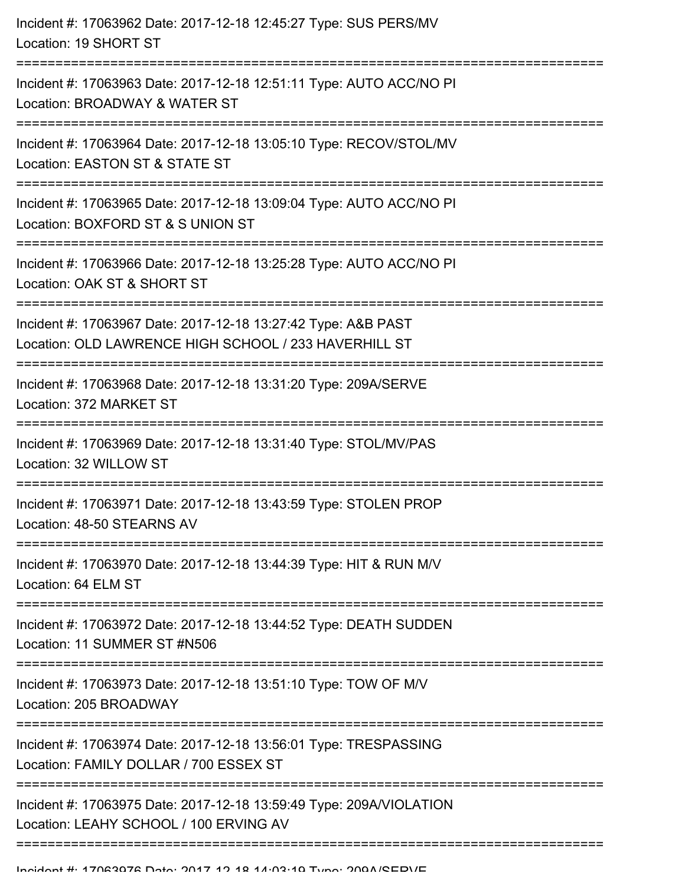| Incident #: 17063963 Date: 2017-12-18 12:51:11 Type: AUTO ACC/NO PI<br>Location: BROADWAY & WATER ST<br>Incident #: 17063964 Date: 2017-12-18 13:05:10 Type: RECOV/STOL/MV<br>Location: EASTON ST & STATE ST<br>Incident #: 17063965 Date: 2017-12-18 13:09:04 Type: AUTO ACC/NO PI<br>Location: BOXFORD ST & S UNION ST<br>========================<br>Incident #: 17063966 Date: 2017-12-18 13:25:28 Type: AUTO ACC/NO PI<br>Location: OAK ST & SHORT ST<br>Incident #: 17063967 Date: 2017-12-18 13:27:42 Type: A&B PAST<br>Location: OLD LAWRENCE HIGH SCHOOL / 233 HAVERHILL ST<br>Incident #: 17063968 Date: 2017-12-18 13:31:20 Type: 209A/SERVE<br>Location: 372 MARKET ST<br>Incident #: 17063969 Date: 2017-12-18 13:31:40 Type: STOL/MV/PAS<br>Location: 32 WILLOW ST<br>Incident #: 17063971 Date: 2017-12-18 13:43:59 Type: STOLEN PROP<br>Location: 48-50 STEARNS AV<br>Incident #: 17063970 Date: 2017-12-18 13:44:39 Type: HIT & RUN M/V<br>Location: 64 ELM ST<br>Incident #: 17063972 Date: 2017-12-18 13:44:52 Type: DEATH SUDDEN<br>Location: 11 SUMMER ST #N506<br>Incident #: 17063973 Date: 2017-12-18 13:51:10 Type: TOW OF M/V<br>Location: 205 BROADWAY<br>Incident #: 17063974 Date: 2017-12-18 13:56:01 Type: TRESPASSING<br>Location: FAMILY DOLLAR / 700 ESSEX ST<br>Incident #: 17063975 Date: 2017-12-18 13:59:49 Type: 209A/VIOLATION<br>Location: LEAHY SCHOOL / 100 ERVING AV | Incident #: 17063962 Date: 2017-12-18 12:45:27 Type: SUS PERS/MV<br>Location: 19 SHORT ST |
|------------------------------------------------------------------------------------------------------------------------------------------------------------------------------------------------------------------------------------------------------------------------------------------------------------------------------------------------------------------------------------------------------------------------------------------------------------------------------------------------------------------------------------------------------------------------------------------------------------------------------------------------------------------------------------------------------------------------------------------------------------------------------------------------------------------------------------------------------------------------------------------------------------------------------------------------------------------------------------------------------------------------------------------------------------------------------------------------------------------------------------------------------------------------------------------------------------------------------------------------------------------------------------------------------------------------------------------------------------------------------------------------------------------|-------------------------------------------------------------------------------------------|
|                                                                                                                                                                                                                                                                                                                                                                                                                                                                                                                                                                                                                                                                                                                                                                                                                                                                                                                                                                                                                                                                                                                                                                                                                                                                                                                                                                                                                  |                                                                                           |
|                                                                                                                                                                                                                                                                                                                                                                                                                                                                                                                                                                                                                                                                                                                                                                                                                                                                                                                                                                                                                                                                                                                                                                                                                                                                                                                                                                                                                  |                                                                                           |
|                                                                                                                                                                                                                                                                                                                                                                                                                                                                                                                                                                                                                                                                                                                                                                                                                                                                                                                                                                                                                                                                                                                                                                                                                                                                                                                                                                                                                  |                                                                                           |
|                                                                                                                                                                                                                                                                                                                                                                                                                                                                                                                                                                                                                                                                                                                                                                                                                                                                                                                                                                                                                                                                                                                                                                                                                                                                                                                                                                                                                  |                                                                                           |
|                                                                                                                                                                                                                                                                                                                                                                                                                                                                                                                                                                                                                                                                                                                                                                                                                                                                                                                                                                                                                                                                                                                                                                                                                                                                                                                                                                                                                  |                                                                                           |
|                                                                                                                                                                                                                                                                                                                                                                                                                                                                                                                                                                                                                                                                                                                                                                                                                                                                                                                                                                                                                                                                                                                                                                                                                                                                                                                                                                                                                  |                                                                                           |
|                                                                                                                                                                                                                                                                                                                                                                                                                                                                                                                                                                                                                                                                                                                                                                                                                                                                                                                                                                                                                                                                                                                                                                                                                                                                                                                                                                                                                  |                                                                                           |
|                                                                                                                                                                                                                                                                                                                                                                                                                                                                                                                                                                                                                                                                                                                                                                                                                                                                                                                                                                                                                                                                                                                                                                                                                                                                                                                                                                                                                  |                                                                                           |
|                                                                                                                                                                                                                                                                                                                                                                                                                                                                                                                                                                                                                                                                                                                                                                                                                                                                                                                                                                                                                                                                                                                                                                                                                                                                                                                                                                                                                  |                                                                                           |
|                                                                                                                                                                                                                                                                                                                                                                                                                                                                                                                                                                                                                                                                                                                                                                                                                                                                                                                                                                                                                                                                                                                                                                                                                                                                                                                                                                                                                  |                                                                                           |
|                                                                                                                                                                                                                                                                                                                                                                                                                                                                                                                                                                                                                                                                                                                                                                                                                                                                                                                                                                                                                                                                                                                                                                                                                                                                                                                                                                                                                  |                                                                                           |
|                                                                                                                                                                                                                                                                                                                                                                                                                                                                                                                                                                                                                                                                                                                                                                                                                                                                                                                                                                                                                                                                                                                                                                                                                                                                                                                                                                                                                  |                                                                                           |
|                                                                                                                                                                                                                                                                                                                                                                                                                                                                                                                                                                                                                                                                                                                                                                                                                                                                                                                                                                                                                                                                                                                                                                                                                                                                                                                                                                                                                  |                                                                                           |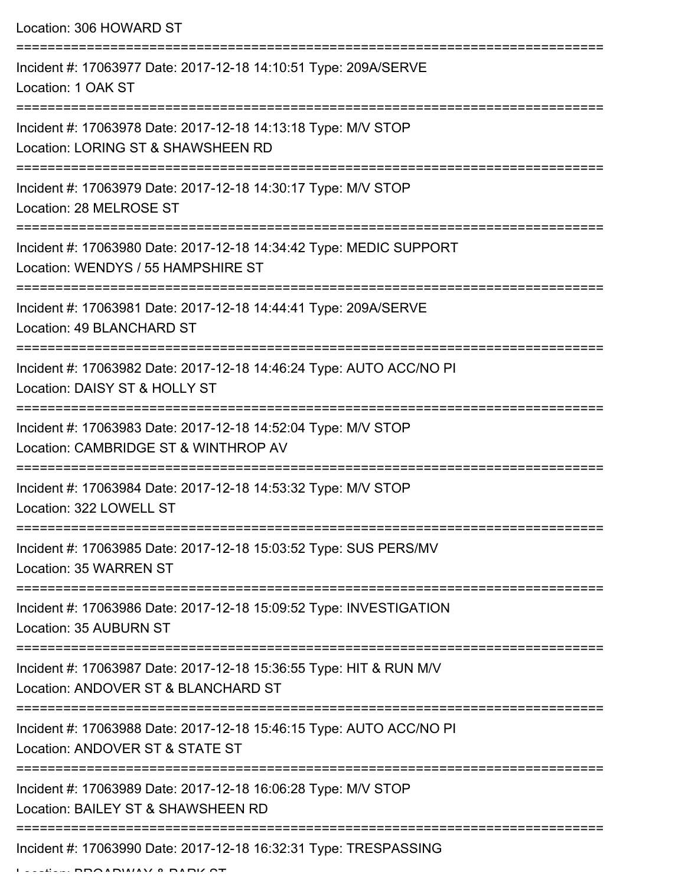Location: 306 HOWARD ST

| Incident #: 17063977 Date: 2017-12-18 14:10:51 Type: 209A/SERVE<br>Location: 1 OAK ST                                                       |
|---------------------------------------------------------------------------------------------------------------------------------------------|
| Incident #: 17063978 Date: 2017-12-18 14:13:18 Type: M/V STOP<br>Location: LORING ST & SHAWSHEEN RD                                         |
| Incident #: 17063979 Date: 2017-12-18 14:30:17 Type: M/V STOP<br>Location: 28 MELROSE ST                                                    |
| Incident #: 17063980 Date: 2017-12-18 14:34:42 Type: MEDIC SUPPORT<br>Location: WENDYS / 55 HAMPSHIRE ST                                    |
| Incident #: 17063981 Date: 2017-12-18 14:44:41 Type: 209A/SERVE<br>Location: 49 BLANCHARD ST                                                |
| Incident #: 17063982 Date: 2017-12-18 14:46:24 Type: AUTO ACC/NO PI<br>Location: DAISY ST & HOLLY ST                                        |
| Incident #: 17063983 Date: 2017-12-18 14:52:04 Type: M/V STOP<br>Location: CAMBRIDGE ST & WINTHROP AV                                       |
| ========================<br>Incident #: 17063984 Date: 2017-12-18 14:53:32 Type: M/V STOP<br>Location: 322 LOWELL ST                        |
| Incident #: 17063985 Date: 2017-12-18 15:03:52 Type: SUS PERS/MV<br>Location: 35 WARREN ST                                                  |
| Incident #: 17063986 Date: 2017-12-18 15:09:52 Type: INVESTIGATION<br>Location: 35 AUBURN ST                                                |
| Incident #: 17063987 Date: 2017-12-18 15:36:55 Type: HIT & RUN M/V<br>Location: ANDOVER ST & BLANCHARD ST                                   |
| ;================================<br>Incident #: 17063988 Date: 2017-12-18 15:46:15 Type: AUTO ACC/NO PI<br>Location: ANDOVER ST & STATE ST |
| Incident #: 17063989 Date: 2017-12-18 16:06:28 Type: M/V STOP<br>Location: BAILEY ST & SHAWSHEEN RD                                         |
| Incident #: 17063990 Date: 2017-12-18 16:32:31 Type: TRESPASSING                                                                            |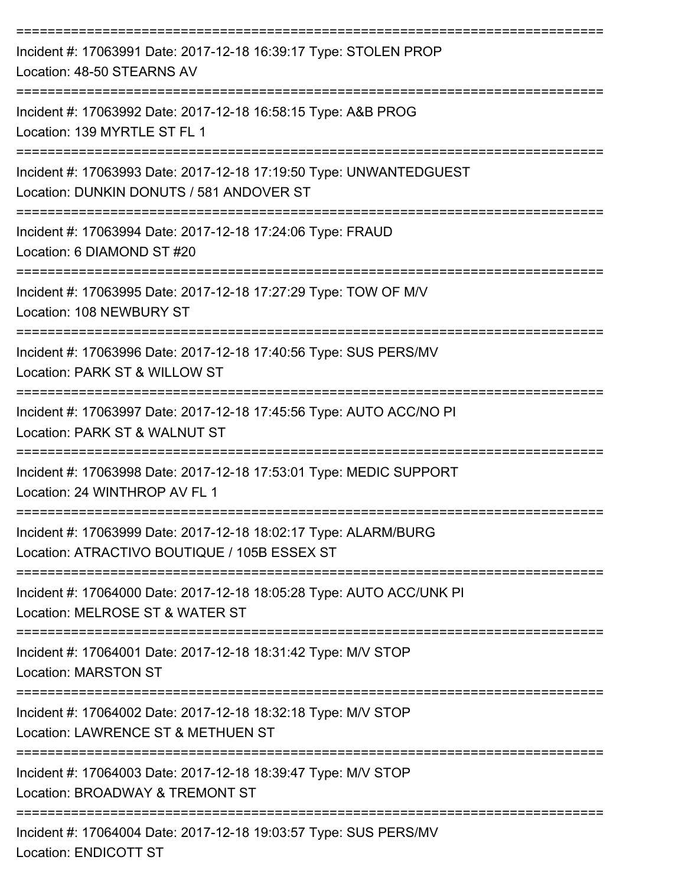| Incident #: 17063991 Date: 2017-12-18 16:39:17 Type: STOLEN PROP<br>Location: 48-50 STEARNS AV                                                                                   |
|----------------------------------------------------------------------------------------------------------------------------------------------------------------------------------|
| Incident #: 17063992 Date: 2017-12-18 16:58:15 Type: A&B PROG<br>Location: 139 MYRTLE ST FL 1                                                                                    |
| Incident #: 17063993 Date: 2017-12-18 17:19:50 Type: UNWANTEDGUEST<br>Location: DUNKIN DONUTS / 581 ANDOVER ST                                                                   |
| ==================================<br>Incident #: 17063994 Date: 2017-12-18 17:24:06 Type: FRAUD<br>Location: 6 DIAMOND ST #20                                                   |
| Incident #: 17063995 Date: 2017-12-18 17:27:29 Type: TOW OF M/V<br>Location: 108 NEWBURY ST                                                                                      |
| Incident #: 17063996 Date: 2017-12-18 17:40:56 Type: SUS PERS/MV<br>Location: PARK ST & WILLOW ST                                                                                |
| Incident #: 17063997 Date: 2017-12-18 17:45:56 Type: AUTO ACC/NO PI<br>Location: PARK ST & WALNUT ST                                                                             |
| Incident #: 17063998 Date: 2017-12-18 17:53:01 Type: MEDIC SUPPORT<br>Location: 24 WINTHROP AV FL 1                                                                              |
| Incident #: 17063999 Date: 2017-12-18 18:02:17 Type: ALARM/BURG<br>Location: ATRACTIVO BOUTIQUE / 105B ESSEX ST                                                                  |
| --------------------------------------<br>---------------------------<br>Incident #: 17064000 Date: 2017-12-18 18:05:28 Type: AUTO ACC/UNK PI<br>Location: MELROSE ST & WATER ST |
| Incident #: 17064001 Date: 2017-12-18 18:31:42 Type: M/V STOP<br><b>Location: MARSTON ST</b>                                                                                     |
| ======================================<br>Incident #: 17064002 Date: 2017-12-18 18:32:18 Type: M/V STOP<br>Location: LAWRENCE ST & METHUEN ST                                    |
| Incident #: 17064003 Date: 2017-12-18 18:39:47 Type: M/V STOP<br>Location: BROADWAY & TREMONT ST                                                                                 |
| ------------------------------<br>Incident #: 17064004 Date: 2017-12-18 19:03:57 Type: SUS PERS/MV<br>Location: ENDICOTT ST                                                      |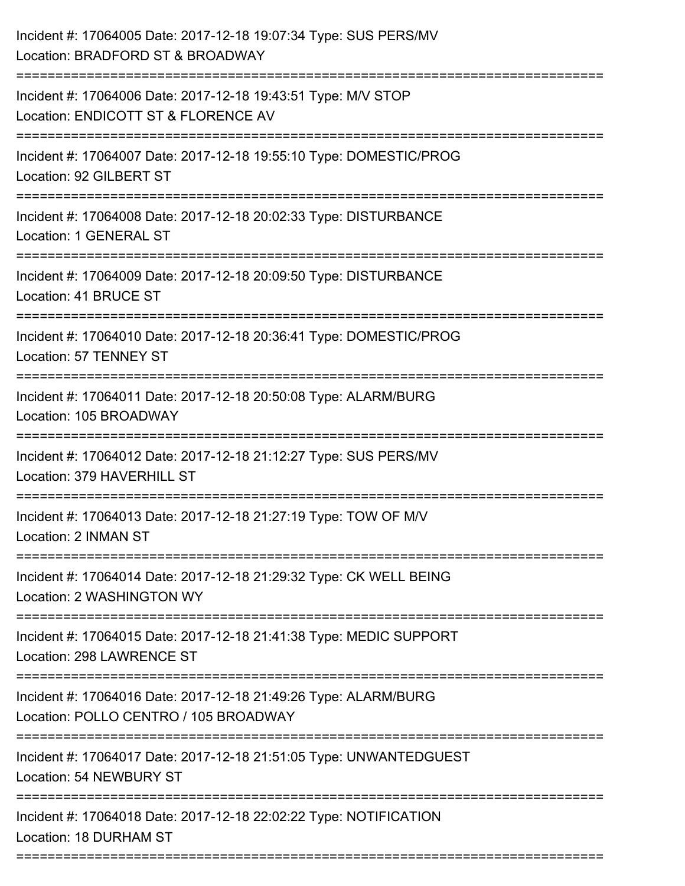| Incident #: 17064005 Date: 2017-12-18 19:07:34 Type: SUS PERS/MV<br>Location: BRADFORD ST & BROADWAY                        |
|-----------------------------------------------------------------------------------------------------------------------------|
| Incident #: 17064006 Date: 2017-12-18 19:43:51 Type: M/V STOP<br>Location: ENDICOTT ST & FLORENCE AV<br>:================== |
| Incident #: 17064007 Date: 2017-12-18 19:55:10 Type: DOMESTIC/PROG<br>Location: 92 GILBERT ST                               |
| Incident #: 17064008 Date: 2017-12-18 20:02:33 Type: DISTURBANCE<br>Location: 1 GENERAL ST                                  |
| Incident #: 17064009 Date: 2017-12-18 20:09:50 Type: DISTURBANCE<br>Location: 41 BRUCE ST                                   |
| Incident #: 17064010 Date: 2017-12-18 20:36:41 Type: DOMESTIC/PROG<br>Location: 57 TENNEY ST                                |
| Incident #: 17064011 Date: 2017-12-18 20:50:08 Type: ALARM/BURG<br>Location: 105 BROADWAY                                   |
| Incident #: 17064012 Date: 2017-12-18 21:12:27 Type: SUS PERS/MV<br>Location: 379 HAVERHILL ST                              |
| Incident #: 17064013 Date: 2017-12-18 21:27:19 Type: TOW OF M/V<br>Location: 2 INMAN ST                                     |
| Incident #: 17064014 Date: 2017-12-18 21:29:32 Type: CK WELL BEING<br>Location: 2 WASHINGTON WY                             |
| Incident #: 17064015 Date: 2017-12-18 21:41:38 Type: MEDIC SUPPORT<br>Location: 298 LAWRENCE ST                             |
| Incident #: 17064016 Date: 2017-12-18 21:49:26 Type: ALARM/BURG<br>Location: POLLO CENTRO / 105 BROADWAY                    |
| Incident #: 17064017 Date: 2017-12-18 21:51:05 Type: UNWANTEDGUEST<br>Location: 54 NEWBURY ST                               |
| Incident #: 17064018 Date: 2017-12-18 22:02:22 Type: NOTIFICATION<br>Location: 18 DURHAM ST                                 |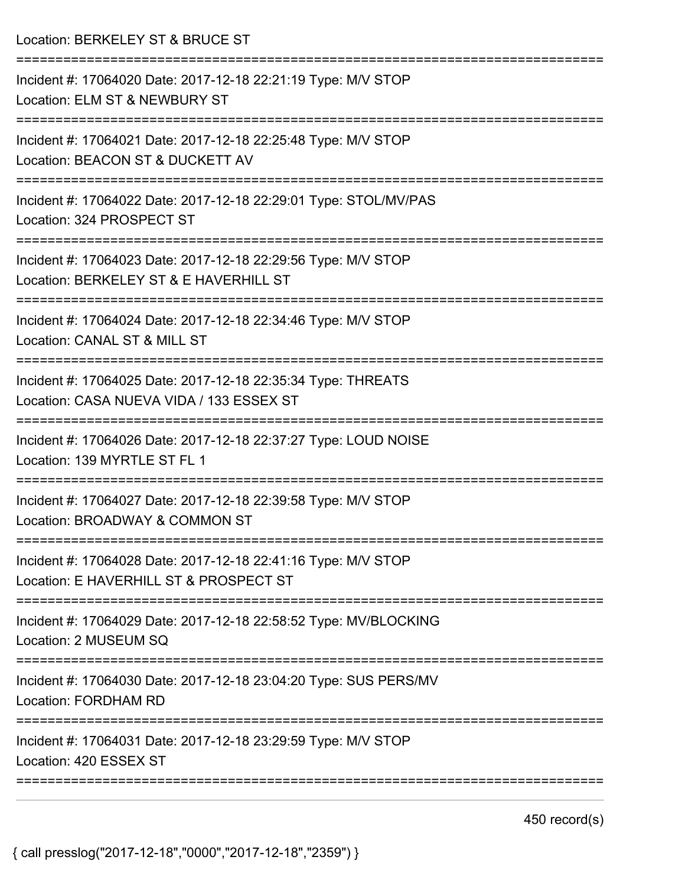| Incident #: 17064020 Date: 2017-12-18 22:21:19 Type: M/V STOP<br>Location: ELM ST & NEWBURY ST<br>Incident #: 17064021 Date: 2017-12-18 22:25:48 Type: M/V STOP<br>Location: BEACON ST & DUCKETT AV<br>Incident #: 17064022 Date: 2017-12-18 22:29:01 Type: STOL/MV/PAS<br>Location: 324 PROSPECT ST<br>Incident #: 17064023 Date: 2017-12-18 22:29:56 Type: M/V STOP<br>Location: BERKELEY ST & E HAVERHILL ST<br>Incident #: 17064024 Date: 2017-12-18 22:34:46 Type: M/V STOP |
|----------------------------------------------------------------------------------------------------------------------------------------------------------------------------------------------------------------------------------------------------------------------------------------------------------------------------------------------------------------------------------------------------------------------------------------------------------------------------------|
|                                                                                                                                                                                                                                                                                                                                                                                                                                                                                  |
|                                                                                                                                                                                                                                                                                                                                                                                                                                                                                  |
|                                                                                                                                                                                                                                                                                                                                                                                                                                                                                  |
|                                                                                                                                                                                                                                                                                                                                                                                                                                                                                  |
| Location: CANAL ST & MILL ST                                                                                                                                                                                                                                                                                                                                                                                                                                                     |
| Incident #: 17064025 Date: 2017-12-18 22:35:34 Type: THREATS<br>Location: CASA NUEVA VIDA / 133 ESSEX ST                                                                                                                                                                                                                                                                                                                                                                         |
| Incident #: 17064026 Date: 2017-12-18 22:37:27 Type: LOUD NOISE<br>Location: 139 MYRTLE ST FL 1                                                                                                                                                                                                                                                                                                                                                                                  |
| Incident #: 17064027 Date: 2017-12-18 22:39:58 Type: M/V STOP<br>Location: BROADWAY & COMMON ST                                                                                                                                                                                                                                                                                                                                                                                  |
| Incident #: 17064028 Date: 2017-12-18 22:41:16 Type: M/V STOP<br>Location: E HAVERHILL ST & PROSPECT ST                                                                                                                                                                                                                                                                                                                                                                          |
| Incident #: 17064029 Date: 2017-12-18 22:58:52 Type: MV/BLOCKING<br>Location: 2 MUSEUM SQ                                                                                                                                                                                                                                                                                                                                                                                        |
| Incident #: 17064030 Date: 2017-12-18 23:04:20 Type: SUS PERS/MV<br>Location: FORDHAM RD                                                                                                                                                                                                                                                                                                                                                                                         |
| Incident #: 17064031 Date: 2017-12-18 23:29:59 Type: M/V STOP<br>Location: 420 ESSEX ST                                                                                                                                                                                                                                                                                                                                                                                          |